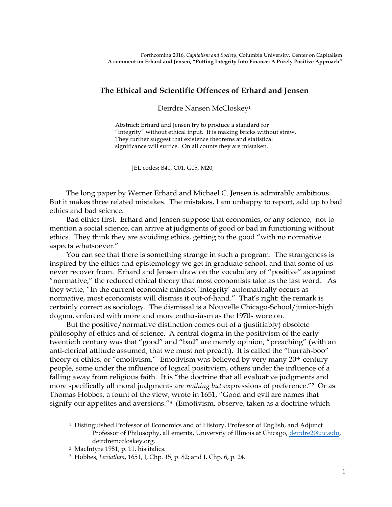## **The Ethical and Scientific Offences of Erhard and Jensen**

Deirdre Nansen McCloskey<sup>1</sup>

Abstract: Erhard and Jensen try to produce a standard for "integrity" without ethical input. It is making bricks without straw. They further suggest that existence theorems and statistical significance will suffice. On all counts they are mistaken.

JEL codes: B41, C01, G05, M20,

The long paper by Werner Erhard and Michael C. Jensen is admirably ambitious. But it makes three related mistakes. The mistakes, I am unhappy to report, add up to bad ethics and bad science.

Bad ethics first. Erhard and Jensen suppose that economics, or any science, not to mention a social science, can arrive at judgments of good or bad in functioning without ethics. They think they are avoiding ethics, getting to the good "with no normative aspects whatsoever."

You can see that there is something strange in such a program. The strangeness is inspired by the ethics and epistemology we get in graduate school, and that some of us never recover from. Erhard and Jensen draw on the vocabulary of "positive" as against "normative," the reduced ethical theory that most economists take as the last word. As they write, "In the current economic mindset 'integrity' automatically occurs as normative, most economists will dismiss it out-of-hand." That's right: the remark is certainly correct as sociology. The dismissal is a Nouvelle Chicago-School/junior-high dogma, enforced with more and more enthusiasm as the 1970s wore on.

But the positive/normative distinction comes out of a (justifiably) obsolete philosophy of ethics and of science. A central dogma in the positivism of the early twentieth century was that "good" and "bad" are merely opinion, "preaching" (with an anti-clerical attitude assumed, that we must not preach). It is called the "hurrah-boo" theory of ethics, or "emotivism." Emotivism was believed by very many 20th-century people, some under the influence of logical positivism, others under the influence of a falling away from religious faith. It is "the doctrine that all evaluative judgments and more specifically all moral judgments are *nothing but* expressions of preference."2 Or as Thomas Hobbes, a fount of the view, wrote in 1651, "Good and evil are names that signify our appetites and aversions."<sup>3</sup> (Emotivism, observe, taken as a doctrine which

 $\overline{\phantom{a}}$ 

<sup>1</sup> Distinguished Professor of Economics and of History, Professor of English, and Adjunct Professor of Philosophy, all emerita, University of Illinois at Chicago, [deirdre2@uic.edu,](mailto:deirdre2@uic.edu) deirdremccloskey.org.

<sup>2</sup> MacIntyre 1981, p. 11, his italics.

<sup>3</sup> Hobbes, *Leviathan*, 1651, I, Chp. 15, p. 82; and I, Chp. 6, p. 24.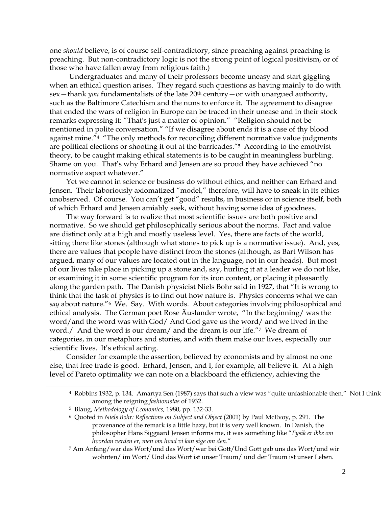one *should* believe, is of course self-contradictory, since preaching against preaching is preaching. But non-contradictory logic is not the strong point of logical positivism, or of those who have fallen away from religious faith.)

Undergraduates and many of their professors become uneasy and start giggling when an ethical question arises. They regard such questions as having mainly to do with sex - thank *you* fundamentalists of the late 20<sup>th</sup> century - or with unargued authority, such as the Baltimore Catechism and the nuns to enforce it. The agreement to disagree that ended the wars of religion in Europe can be traced in their unease and in their stock remarks expressing it: "That's just a matter of opinion." "Religion should not be mentioned in polite conversation." "If we disagree about ends it is a case of thy blood against mine."<sup>4</sup> "The only methods for reconciling different normative value judgments are political elections or shooting it out at the barricades."<sup>5</sup> According to the emotivist theory, to be caught making ethical statements is to be caught in meaningless burbling. Shame on you. That's why Erhard and Jensen are so proud they have achieved "no normative aspect whatever."

Yet we cannot in science or business do without ethics, and neither can Erhard and Jensen. Their laboriously axiomatized "model," therefore, will have to sneak in its ethics unobserved. Of course. You can't get "good" results, in business or in science itself, both of which Erhard and Jensen amiably seek, without having some idea of goodness.

The way forward is to realize that most scientific issues are both positive and normative. So we should get philosophically serious about the norms. Fact and value are distinct only at a high and mostly useless level. Yes, there are facts of the world, sitting there like stones (although what stones to pick up is a normative issue). And, yes, there are values that people have distinct from the stones (although, as Bart Wilson has argued, many of our values are located out in the language, not in our heads). But most of our lives take place in picking up a stone and, say, hurling it at a leader we do not like, or examining it in some scientific program for its iron content, or placing it pleasantly along the garden path. The Danish physicist Niels Bohr said in 1927, that "It is wrong to think that the task of physics is to find out how nature is. Physics concerns what we can *say* about nature."6 We. Say. With words. About categories involving philosophical and ethical analysis. The German poet Rose Äuslander wrote, "In the beginning/ was the word/and the word was with God/ And God gave us the word/ and we lived in the word./ And the word is our dream/ and the dream is our life."7 We dream of categories, in our metaphors and stories, and with them make our lives, especially our scientific lives. It's ethical acting.

Consider for example the assertion, believed by economists and by almost no one else, that free trade is good. Erhard, Jensen, and I, for example, all believe it. At a high level of Pareto optimality we can note on a blackboard the efficiency, achieving the

l

<sup>4</sup> Robbins 1932, p. 134. Amartya Sen (1987) says that such a view was "quite unfashionable then." Not I think among the reigning *fashionistas* of 1932.

<sup>5</sup> Blaug, *Methodology of Economics,* 1980, pp. 132-33.

<sup>6</sup> Quoted in *Niels Bohr: Reflections on Subject and Object* (2001) by Paul McEvoy, p. 291. The provenance of the remark is a little hazy, but it is very well known. In Danish, the philosopher Hans Siggaard Jensen informs me, it was something like "*Fysik er ikke om hvordan verden er, men om hvad vi kan sige om den*."

<sup>7</sup> Am Anfang/war das Wort/und das Wort/war bei Gott/Und Gott gab uns das Wort/und wir wohnten/ im Wort/ Und das Wort ist unser Traum/ und der Traum ist unser Leben.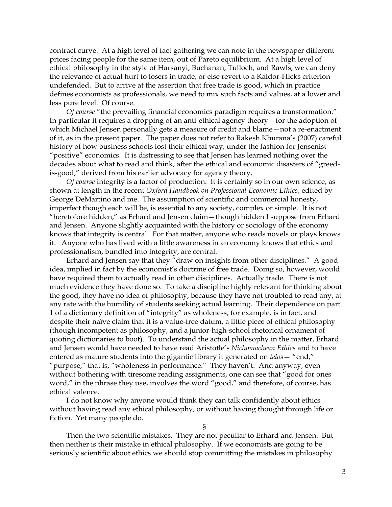contract curve. At a high level of fact gathering we can note in the newspaper different prices facing people for the same item, out of Pareto equilibrium. At a high level of ethical philosophy in the style of Harsanyi, Buchanan, Tulloch, and Rawls, we can deny the relevance of actual hurt to losers in trade, or else revert to a Kaldor-Hicks criterion undefended. But to arrive at the assertion that free trade is good, which in practice defines economists as professionals, we need to mix such facts and values, at a lower and less pure level. Of course.

*Of course* "the prevailing financial economics paradigm requires a transformation." In particular it requires a dropping of an anti-ethical agency theory—for the adoption of which Michael Jensen personally gets a measure of credit and blame—not a re-enactment of it, as in the present paper. The paper does not refer to Rakesh Khurana's (2007) careful history of how business schools lost their ethical way, under the fashion for Jensenist "positive" economics. It is distressing to see that Jensen has learned nothing over the decades about what to read and think, after the ethical and economic disasters of "greedis-good," derived from his earlier advocacy for agency theory.

*Of course* integrity is a factor of production. It is certainly so in our own science, as shown at length in the recent *Oxford Handbook on Professional Economic Ethics*, edited by George DeMartino and me. The assumption of scientific and commercial honesty, imperfect though each will be, is essential to any society, complex or simple. It is not "heretofore hidden," as Erhard and Jensen claim—though hidden I suppose from Erhard and Jensen. Anyone slightly acquainted with the history or sociology of the economy knows that integrity is central. For that matter, anyone who reads novels or plays knows it. Anyone who has lived with a little awareness in an economy knows that ethics and professionalism, bundled into integrity, are central.

Erhard and Jensen say that they "draw on insights from other disciplines." A good idea, implied in fact by the economist's doctrine of free trade. Doing so, however, would have required them to actually read in other disciplines. Actually trade. There is not much evidence they have done so. To take a discipline highly relevant for thinking about the good, they have no idea of philosophy, because they have not troubled to read any, at any rate with the humility of students seeking actual learning. Their dependence on part 1 of a dictionary definition of "integrity" as wholeness, for example, is in fact, and despite their naïve claim that it is a value-free datum, a little piece of ethical philosophy (though incompetent as philosophy, and a junior-high-school rhetorical ornament of quoting dictionaries to boot). To understand the actual philosophy in the matter, Erhard and Jensen would have needed to have read Aristotle's *Nichomachean Ethics* and to have entered as mature students into the gigantic library it generated on *telos*— "end," "purpose," that is, "wholeness in performance." They haven't. And anyway, even without bothering with tiresome reading assignments, one can see that "good for ones word," in the phrase they use, involves the word "good," and therefore, of course, has ethical valence.

I do not know why anyone would think they can talk confidently about ethics without having read any ethical philosophy, or without having thought through life or fiction. Yet many people do.

§

Then the two scientific mistakes. They are not peculiar to Erhard and Jensen. But then neither is their mistake in ethical philosophy. If we economists are going to be seriously scientific about ethics we should stop committing the mistakes in philosophy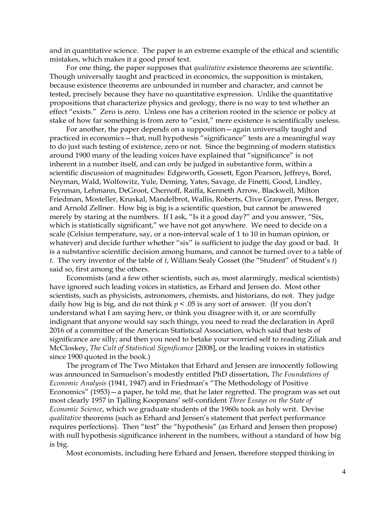and in quantitative science. The paper is an extreme example of the ethical and scientific mistakes, which makes it a good proof text.

For one thing, the paper supposes that *qualitative* existence theorems are scientific. Though universally taught and practiced in economics, the supposition is mistaken, because existence theorems are unbounded in number and character, and cannot be tested, precisely because they have no quantitative expression. Unlike the quantitative propositions that characterize physics and geology, there is no way to test whether an effect "exists." Zero is zero. Unless one has a criterion rooted in the science or policy at stake of how far something is from zero to "exist," mere existence is scientifically useless.

For another, the paper depends on a supposition—again universally taught and practiced in economics—that, null hypothesis "significance" tests are a meaningful way to do just such testing of existence, zero or not. Since the beginning of modern statistics around 1900 many of the leading voices have explained that "significance" is not inherent in a number itself, and can only be judged in substantive form, within a scientific discussion of magnitudes: Edgeworth, Gossett, Egon Pearson, Jeffreys, Borel, Neyman, Wald, Wolfowitz, Yule, Deming, Yates, Savage, de Finetti, Good, Lindley, Feynman, Lehmann, DeGroot, Chernoff, Raiffa, Kenneth Arrow, Blackwell, Milton Friedman, Mosteller, Kruskal, Mandelbrot, Wallis, Roberts, Clive Granger, Press, Berger, and Arnold Zellner. How big is big is a scientific question, but cannot be answered merely by staring at the numbers. If I ask, "Is it a good day?" and you answer, "Six, which is statistically significant," we have not got anywhere. We need to decide on a scale (Celsius temperature, say, or a non-interval scale of 1 to 10 in human opinion, or whatever) and decide further whether "six" is sufficient to judge the day good or bad. It is a substantive scientific decision among humans, and cannot be turned over to a table of *t.* The very inventor of the table of *t*, William Sealy Gosset (the "Student" of Student's *t*) said so, first among the others.

Economists (and a few other scientists, such as, most alarmingly, medical scientists) have ignored such leading voices in statistics, as Erhard and Jensen do. Most other scientists, such as physicists, astronomers, chemists, and historians, do not. They judge daily how big is big, and do not think  $p < .05$  is any sort of answer. (If you don't understand what I am saying here, or think you disagree with it, or are scornfully indignant that anyone would say such things, you need to read the declaration in April 2016 of a committee of the American Statistical Association, which said that tests of significance are silly; and then you need to betake your worried self to reading Ziliak and McCloskey, *The Cult of Statistical Significance* [2008], or the leading voices in statistics since 1900 quoted in the book.)

The program of The Two Mistakes that Erhard and Jensen are innocently following was announced in Samuelson's modestly entitled PhD dissertation, *The Foundations of Economic Analysis* (1941, 1947) and in Friedman's "The Methodology of Positive Economics" (1953)—a paper, he told me, that he later regretted. The program was set out most clearly 1957 in Tjalling Koopmans' self-confident *Three Essays on the State of Economic Science*, which we graduate students of the 1960s took as holy writ. Devise *qualitative* theorems (such as Erhard and Jensen's statement that perfect performance requires perfections). Then "test" the "hypothesis" (as Erhard and Jensen then propose) with null hypothesis significance inherent in the numbers, without a standard of how big is big.

Most economists, including here Erhard and Jensen, therefore stopped thinking in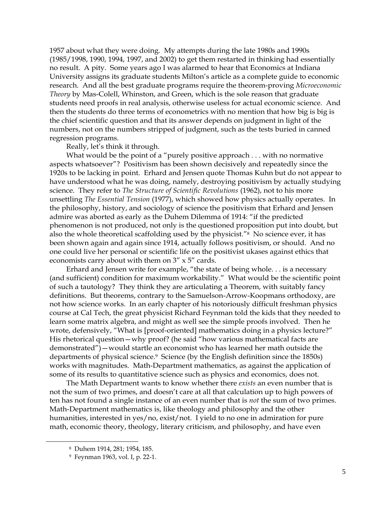1957 about what they were doing. My attempts during the late 1980s and 1990s (1985/1998, 1990, 1994, 1997, and 2002) to get them restarted in thinking had essentially no result. A pity. Some years ago I was alarmed to hear that Economics at Indiana University assigns its graduate students Milton's article as a complete guide to economic research. And all the best graduate programs require the theorem-proving *Microeconomic Theory* by Mas-Colell, Whinston, and Green, which is the sole reason that graduate students need proofs in real analysis, otherwise useless for actual economic science. And then the students do three terms of econometrics with no mention that how big is big is the chief scientific question and that its answer depends on judgment in light of the numbers, not on the numbers stripped of judgment, such as the tests buried in canned regression programs.

Really, let's think it through.

What would be the point of a "purely positive approach . . . with no normative aspects whatsoever"? Positivism has been shown decisively and repeatedly since the 1920s to be lacking in point. Erhard and Jensen quote Thomas Kuhn but do not appear to have understood what he was doing, namely, destroying positivism by actually studying science. They refer to *The Structure of Scientific Revolutions* (1962), not to his more unsettling *The Essential Tension* (1977), which showed how physics actually operates. In the philosophy, history, and sociology of science the positivism that Erhard and Jensen admire was aborted as early as the Duhem Dilemma of 1914: "if the predicted phenomenon is not produced, not only is the questioned proposition put into doubt, but also the whole theoretical scaffolding used by the physicist."8 No science ever, it has been shown again and again since 1914, actually follows positivism, or should. And no one could live her personal or scientific life on the positivist ukases against ethics that economists carry about with them on 3" x 5" cards.

Erhard and Jensen write for example, "the state of being whole. . . is a necessary (and sufficient) condition for maximum workability." What would be the scientific point of such a tautology? They think they are articulating a Theorem, with suitably fancy definitions. But theorems, contrary to the Samuelson-Arrow-Koopmans orthodoxy, are not how science works. In an early chapter of his notoriously difficult freshman physics course at Cal Tech, the great physicist Richard Feynman told the kids that they needed to learn some matrix algebra, and might as well see the simple proofs involved. Then he wrote, defensively, "What is [proof-oriented] mathematics doing in a physics lecture?" His rhetorical question—why proof? (he said "how various mathematical facts are demonstrated")—would startle an economist who has learned her math outside the departments of physical science.<sup>9</sup> Science (by the English definition since the 1850s) works with magnitudes. Math-Department mathematics, as against the application of some of its results to quantitative science such as physics and economics, does not.

The Math Department wants to know whether there *exists* an even number that is not the sum of two primes, and doesn't care at all that calculation up to high powers of ten has not found a single instance of an even number that is *not* the sum of two primes. Math-Department mathematics is, like theology and philosophy and the other humanities, interested in yes/no, exist/not. I yield to no one in admiration for pure math, economic theory, theology, literary criticism, and philosophy, and have even

 $\overline{\phantom{a}}$ 

<sup>8</sup> Duhem 1914, 281; 1954, 185.

<sup>9</sup> Feynman 1963, vol. I, p. 22-1.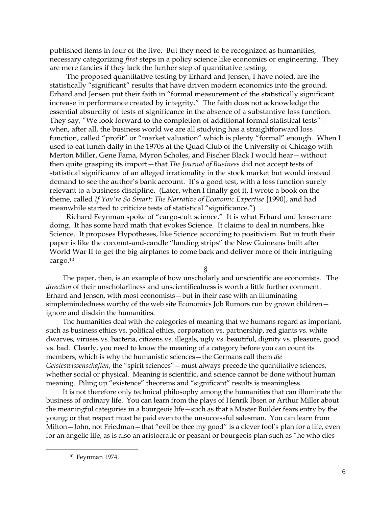published items in four of the five. But they need to be recognized as humanities, necessary categorizing *first* steps in a policy science like economics or engineering. They are mere fancies if they lack the further step of quantitative testing.

The proposed quantitative testing by Erhard and Jensen, I have noted, are the statistically "significant" results that have driven modern economics into the ground. Erhard and Jensen put their faith in "formal measurement of the statistically significant increase in performance created by integrity." The faith does not acknowledge the essential absurdity of tests of significance in the absence of a substantive loss function. They say, "We look forward to the completion of additional formal statistical tests" when, after all, the business world we are all studying has a straightforward loss function, called "profit" or "market valuation" which is plenty "formal" enough. When I used to eat lunch daily in the 1970s at the Quad Club of the University of Chicago with Merton Miller, Gene Fama, Myron Scholes, and Fischer Black I would hear—without then quite grasping its import—that *The Journal of Business* did not accept tests of statistical significance of an alleged irrationality in the stock market but would instead demand to see the author's bank account. It's a good test, with a loss function surely relevant to a business discipline. (Later, when I finally got it, I wrote a book on the theme, called *If You're So Smart: The Narrative of Economic Expertise* [1990], and had meanwhile started to criticize tests of statistical "significance.")

Richard Feynman spoke of "cargo-cult science." It is what Erhard and Jensen are doing. It has some hard math that evokes Science. It claims to deal in numbers, like Science. It proposes Hypotheses, like Science according to positivism. But in truth their paper is like the coconut-and-candle "landing strips" the New Guineans built after World War II to get the big airplanes to come back and deliver more of their intriguing cargo.<sup>10</sup>

§

The paper, then, is an example of how unscholarly and unscientific are economists. The *direction* of their unscholarliness and unscientificalness is worth a little further comment. Erhard and Jensen, with most economists—but in their case with an illuminating simplemindedness worthy of the web site Economics Job Rumors run by grown children ignore and disdain the humanities.

The humanities deal with the categories of meaning that we humans regard as important, such as business ethics vs. political ethics, corporation vs. partnership, red giants vs. white dwarves, viruses vs. bacteria, citizens vs. illegals, ugly vs. beautiful, dignity vs. pleasure, good vs. bad. Clearly, you need to know the meaning of a category before you can count its members, which is why the humanistic sciences—the Germans call them *die Geisteswissenschaften*, the "spirit sciences"—must always precede the quantitative sciences, whether social or physical. Meaning is scientific, and science cannot be done without human meaning. Piling up "existence" theorems and "significant" results is meaningless.

It is not therefore only technical philosophy among the humanities that can illuminate the business of ordinary life. You can learn from the plays of Henrik Ibsen or Arthur Miller about the meaningful categories in a bourgeois life—such as that a Master Builder fears entry by the young; or that respect must be paid even to the unsuccessful salesman. You can learn from Milton—John, not Friedman—that "evil be thee my good" is a clever fool's plan for a life, even for an angelic life, as is also an aristocratic or peasant or bourgeois plan such as "he who dies

l

<sup>10</sup> Feynman 1974.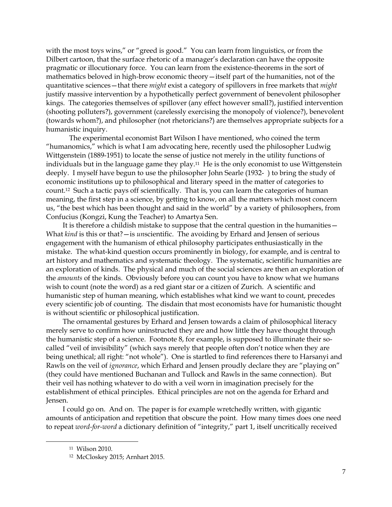with the most toys wins," or "greed is good." You can learn from linguistics, or from the Dilbert cartoon, that the surface rhetoric of a manager's declaration can have the opposite pragmatic or illocutionary force. You can learn from the existence-theorems in the sort of mathematics beloved in high-brow economic theory—itself part of the humanities, not of the quantitative sciences—that there *might* exist a category of spillovers in free markets that *might* justify massive intervention by a hypothetically perfect government of benevolent philosopher kings. The categories themselves of spillover (any effect however small?), justified intervention (shooting polluters?), government (carelessly exercising the monopoly of violence?), benevolent (towards whom?), and philosopher (not rhetoricians?) are themselves appropriate subjects for a humanistic inquiry.

The experimental economist Bart Wilson I have mentioned, who coined the term "humanomics," which is what I am advocating here, recently used the philosopher Ludwig Wittgenstein (1889-1951) to locate the sense of justice not merely in the utility functions of individuals but in the language game they play.<sup>11</sup> He is the only economist to use Wittgenstein deeply. I myself have begun to use the philosopher John Searle (1932- ) to bring the study of economic institutions up to philosophical and literary speed in the matter of categories to count.12 Such a tactic pays off scientifically. That is, you can learn the categories of human meaning, the first step in a science, by getting to know, on all the matters which most concern us, "the best which has been thought and said in the world" by a variety of philosophers, from Confucius (Kongzi, Kung the Teacher) to Amartya Sen.

It is therefore a childish mistake to suppose that the central question in the humanities— What *kind* is this or that?—is *un*scientific. The avoiding by Erhard and Jensen of serious engagement with the humanism of ethical philosophy participates enthusiastically in the mistake. The what-kind question occurs prominently in biology, for example, and is central to art history and mathematics and systematic theology. The systematic, scientific humanities are an exploration of kinds. The physical and much of the social sciences are then an exploration of the *amounts* of the kinds. Obviously before you can count you have to know what we humans wish to count (note the word) as a red giant star or a citizen of Zurich. A scientific and humanistic step of human meaning, which establishes what kind we want to count, precedes every scientific job of counting. The disdain that most economists have for humanistic thought is without scientific or philosophical justification.

The ornamental gestures by Erhard and Jensen towards a claim of philosophical literacy merely serve to confirm how uninstructed they are and how little they have thought through the humanistic step of a science. Footnote 8, for example, is supposed to illuminate their socalled "veil of invisibility" (which says merely that people often don't notice when they are being unethical; all right: "not whole"). One is startled to find references there to Harsanyi and Rawls on the veil of *ignorance*, which Erhard and Jensen proudly declare they are "playing on" (they could have mentioned Buchanan and Tullock and Rawls in the same connection). But their veil has nothing whatever to do with a veil worn in imagination precisely for the establishment of ethical principles. Ethical principles are not on the agenda for Erhard and Jensen.

I could go on. And on. The paper is for example wretchedly written, with gigantic amounts of anticipation and repetition that obscure the point. How many times does one need to repeat *word-for-word* a dictionary definition of "integrity," part 1, itself uncritically received

 $\overline{\phantom{a}}$ 

<sup>11</sup> Wilson 2010.

<sup>12</sup> McCloskey 2015; Arnhart 2015.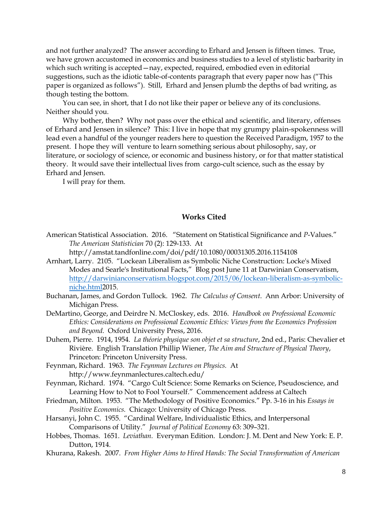and not further analyzed? The answer according to Erhard and Jensen is fifteen times. True, we have grown accustomed in economics and business studies to a level of stylistic barbarity in which such writing is accepted—nay, expected, required, embodied even in editorial suggestions, such as the idiotic table-of-contents paragraph that every paper now has ("This paper is organized as follows"). Still, Erhard and Jensen plumb the depths of bad writing, as though testing the bottom.

You can see, in short, that I do not like their paper or believe any of its conclusions. Neither should you.

Why bother, then? Why not pass over the ethical and scientific, and literary, offenses of Erhard and Jensen in silence? This: I live in hope that my grumpy plain-spokenness will lead even a handful of the younger readers here to question the Received Paradigm, 1957 to the present. I hope they will venture to learn something serious about philosophy, say, or literature, or sociology of science, or economic and business history, or for that matter statistical theory. It would save their intellectual lives from cargo-cult science, such as the essay by Erhard and Jensen.

I will pray for them.

## **Works Cited**

American Statistical Association. 2016. "Statement on Statistical Significance and *P*-Values." *The American Statistician* 70 (2): 129-133. At

http://amstat.tandfonline.com/doi/pdf/10.1080/00031305.2016.1154108

- Arnhart, Larry. 2105. "Lockean Liberalism as Symbolic Niche Construction: Locke's Mixed Modes and Searle's Institutional Facts," Blog post June 11 at Darwinian Conservatism, [http://darwinianconservatism.blogspot.com/2015/06/lockean-liberalism-as-symbolic](http://darwinianconservatism.blogspot.com/2015/06/lockean-liberalism-as-symbolic-niche.html)[niche.html2](http://darwinianconservatism.blogspot.com/2015/06/lockean-liberalism-as-symbolic-niche.html)015.
- Buchanan, James, and Gordon Tullock. 1962. *The Calculus of Consent*. Ann Arbor: University of Michigan Press.
- DeMartino, George, and Deirdre N. McCloskey, eds. 2016. *Handbook on Professional Economic Ethics: Considerations on Professional Economic Ethics: Views from the Economics Profession and Beyond.* Oxford University Press, 2016.
- Duhem, Pierre. 1914, 1954. *La théorie physique son objet et sa structure*, 2nd ed., Paris: Chevalier et Rivière. English Translation Phillip Wiener, *The Aim and Structure of Physical Theory*, Princeton: Princeton University Press.
- Feynman, Richard. 1963. *The Feynman Lectures on Physics.* At http://www.feynmanlectures.caltech.edu/
- Feynman, Richard. 1974. "Cargo Cult Science: Some Remarks on Science, Pseudoscience, and Learning How to Not to Fool Yourself." Commencement address at Caltech
- Friedman, Milton. 1953. "The Methodology of Positive Economics." Pp. 3-16 in his *Essays in Positive Economics.* Chicago: University of Chicago Press.
- Harsanyi, John C. 1955. "Cardinal Welfare, Individualistic Ethics, and Interpersonal Comparisons of Utility." *Journal of Political Economy* 63: 309–321.
- Hobbes, Thomas. 1651. *Leviathan.* Everyman Edition. London: J. M. Dent and New York: E. P. Dutton, 1914.
- Khurana, Rakesh. 2007. *From Higher Aims to Hired Hands: The Social Transformation of American*